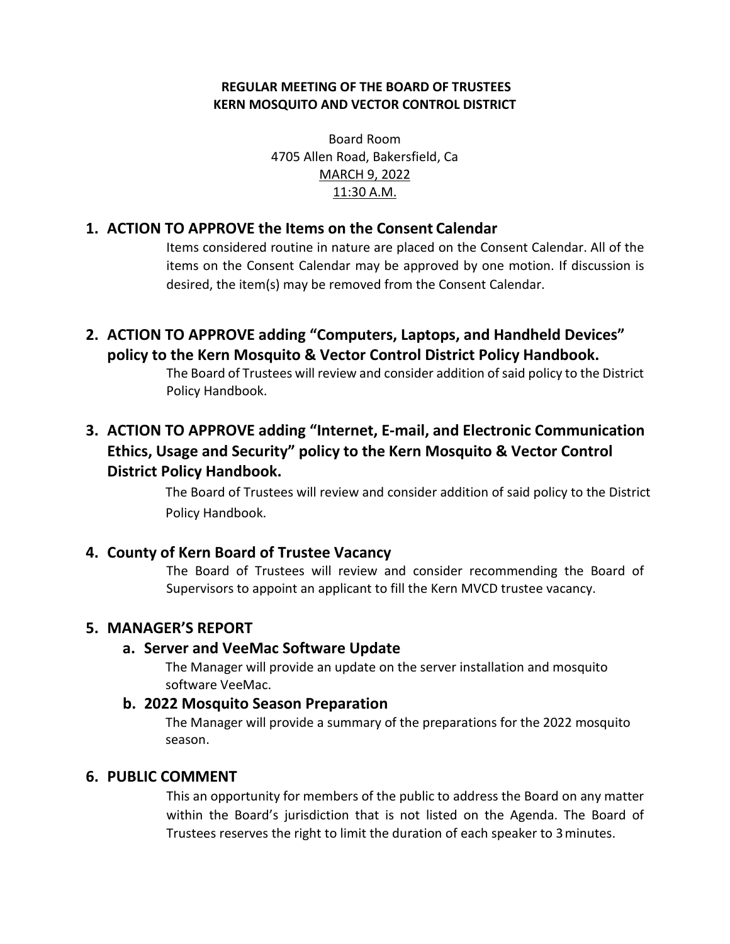#### **REGULAR MEETING OF THE BOARD OF TRUSTEES KERN MOSQUITO AND VECTOR CONTROL DISTRICT**

Board Room 4705 Allen Road, Bakersfield, Ca MARCH 9, 2022 11:30 A.M.

### **1. ACTION TO APPROVE the Items on the Consent Calendar**

Items considered routine in nature are placed on the Consent Calendar. All of the items on the Consent Calendar may be approved by one motion. If discussion is desired, the item(s) may be removed from the Consent Calendar.

**2. ACTION TO APPROVE adding "Computers, Laptops, and Handheld Devices" policy to the Kern Mosquito & Vector Control District Policy Handbook.**

> The Board of Trustees will review and consider addition of said policy to the District Policy Handbook.

# **3. ACTION TO APPROVE adding "Internet, E-mail, and Electronic Communication Ethics, Usage and Security" policy to the Kern Mosquito & Vector Control District Policy Handbook.**

The Board of Trustees will review and consider addition of said policy to the District Policy Handbook.

#### **4. County of Kern Board of Trustee Vacancy**

The Board of Trustees will review and consider recommending the Board of Supervisors to appoint an applicant to fill the Kern MVCD trustee vacancy.

## **5. MANAGER'S REPORT**

#### **a. Server and VeeMac Software Update**

The Manager will provide an update on the server installation and mosquito software VeeMac.

#### **b. 2022 Mosquito Season Preparation**

The Manager will provide a summary of the preparations for the 2022 mosquito season.

#### **6. PUBLIC COMMENT**

This an opportunity for members of the public to address the Board on any matter within the Board's jurisdiction that is not listed on the Agenda. The Board of Trustees reserves the right to limit the duration of each speaker to 3minutes.